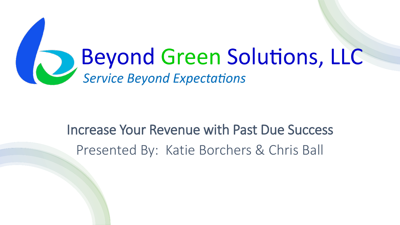# Beyond Green Solutions, LLC

### Increase Your Revenue with Past Due Success Presented By: Katie Borchers & Chris Ball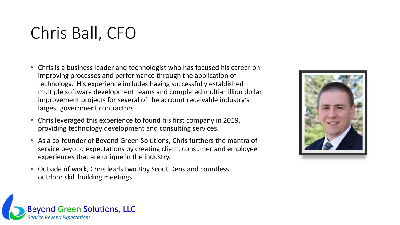### Chris Ball, CFO

- Chris is a business leader and technologist who has focused his career on improving processes and performance through the application of technology. His experience includes having successfully established multiple software development teams and completed multi-million dollar improvement projects for several of the account receivable industry's largest government contractors.
- Chris leveraged this experience to found his first company in 2019, providing technology development and consulting services.
- As a co-founder of Beyond Green Solutions, Chris furthers the mantra of service beyond expectations by creating client, consumer and employee experiences that are unique in the industry.
- Outside of work, Chris leads two Boy Scout Dens and countless outdoor skill building meetings.



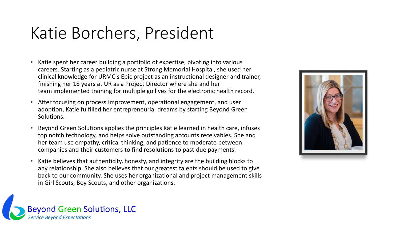### Katie Borchers, President

- Katie spent her career building a portfolio of expertise, pivoting into various careers. Starting as a pediatric nurse at Strong Memorial Hospital, she used her clinical knowledge for URMC's Epic project as an instructional designer and trainer, finishing her 18 years at UR as a Project Director where she and her team implemented training for multiple go lives for the electronic health record.
- After focusing on process improvement, operational engagement, and user adoption, Katie fulfilled her entrepreneurial dreams by starting Beyond Green Solutions.
- Beyond Green Solutions applies the principles Katie learned in health care, infuses top notch technology, and helps solve outstanding accounts receivables. She and her team use empathy, critical thinking, and patience to moderate between companies and their customers to find resolutions to past-due payments.
- Katie believes that authenticity, honesty, and integrity are the building blocks to any relationship. She also believes that our greatest talents should be used to give back to our community. She uses her organizational and project management skills in Girl Scouts, Boy Scouts, and other organizations.



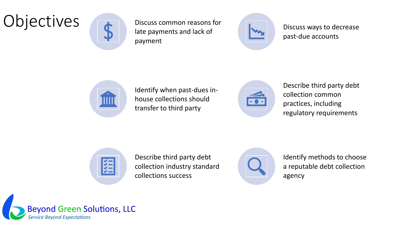### Objectives **Discuss common reasons for**



late payments and lack of payment



Discuss ways to decrease past-due accounts



Identify when past-dues inhouse collections should transfer to third party



Describe third party debt collection common practices, including regulatory requirements



Describe third party debt collection industry standard collections success



Identify methods to choose a reputable debt collection agency

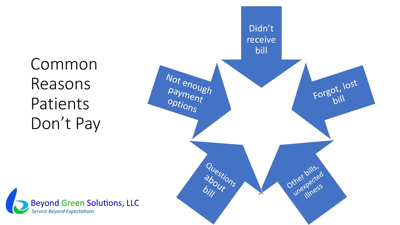Common Reasons Patients Don't Pay



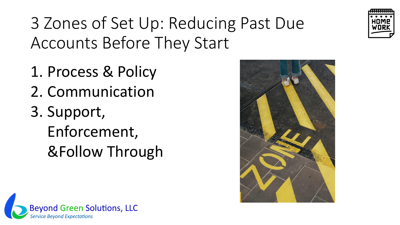

3 Zones of Set Up: Reducing Past Due Accounts Before They Start

- 1. Process & Policy
- 2. Communication
- 3. Support, Enforcement, &Follow Through



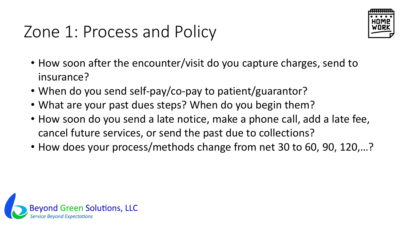### Zone 1: Process and Policy



- How soon after the encounter/visit do you capture charges, send to insurance?
- When do you send self-pay/co-pay to patient/guarantor?
- What are your past dues steps? When do you begin them?
- How soon do you send a late notice, make a phone call, add a late fee, cancel future services, or send the past due to collections?
- How does your process/methods change from net 30 to 60, 90, 120,…?

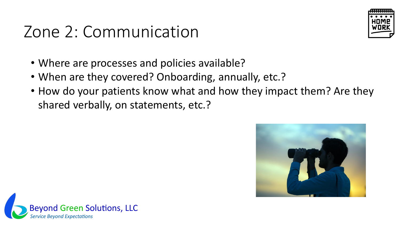### Zone 2: Communication



- Where are processes and policies available?
- When are they covered? Onboarding, annually, etc.?
- How do your patients know what and how they impact them? Are they shared verbally, on statements, etc.?



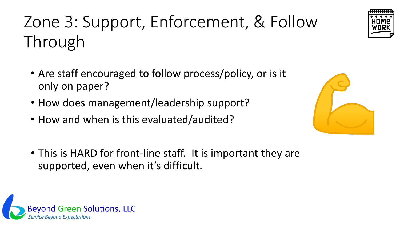Zone 3: Support, Enforcement, & Follow Through

- Are staff encouraged to follow process/policy, or is it only on paper?
- How does management/leadership support?
- How and when is this evaluated/audited?
- This is HARD for front-line staff. It is important they are supported, even when it's difficult.





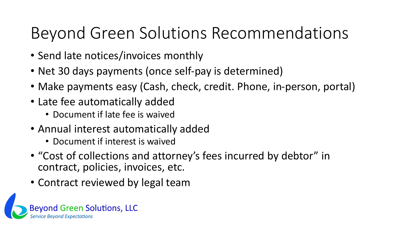### Beyond Green Solutions Recommendations

- Send late notices/invoices monthly
- Net 30 days payments (once self-pay is determined)
- Make payments easy (Cash, check, credit. Phone, in-person, portal)
- Late fee automatically added
	- Document if late fee is waived
- Annual interest automatically added
	- Document if interest is waived
- "Cost of collections and attorney's fees incurred by debtor" in contract, policies, invoices, etc.
- Contract reviewed by legal team

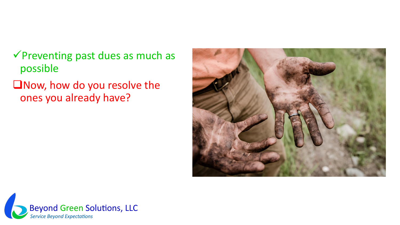- ✓Preventing past dues as much as possible
- ❑Now, how do you resolve the ones you already have?



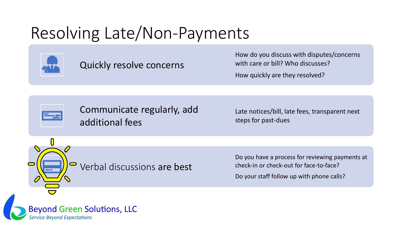### Resolving Late/Non-Payments



Quickly resolve concerns

How do you discuss with disputes/concerns with care or bill? Who discusses?

How quickly are they resolved?



Communicate regularly, add additional fees

Late notices/bill, late fees, transparent next steps for past-dues

Verbal discussions are best

Do you have a process for reviewing payments at check-in or check-out for face-to-face?

Do your staff follow up with phone calls?

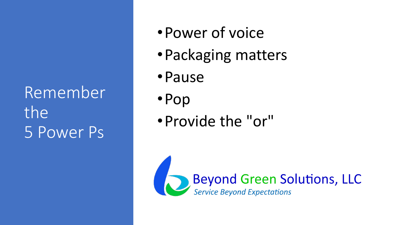Remember the 5 Power Ps

- •Power of voice
- •Packaging matters
- •Pause
- •Pop
- •Provide the "or"

Beyond Green Solutions, LLC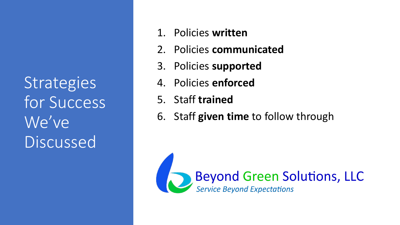**Strategies** for Success We've Discussed

- 1. Policies **written**
- 2. Policies **communicated**
- 3. Policies **supported**
- 4. Policies **enforced**
- 5. Staff **trained**
- 6. Staff **given time** to follow through

Beyond Green Solutions, LLC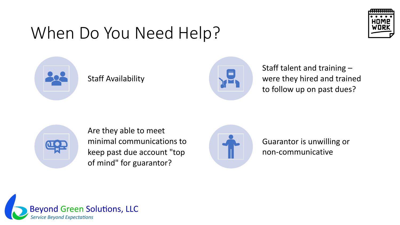### When Do You Need Help?





#### Staff Availability



Staff talent and training – were they hired and trained to follow up on past dues?



Are they able to meet minimal communications to keep past due account "top of mind" for guarantor?



Guarantor is unwilling or non-communicative

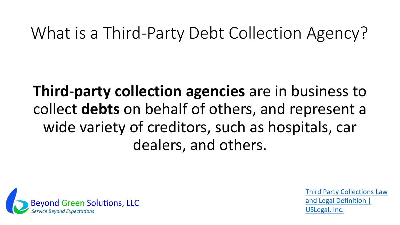### What is a Third-Party Debt Collection Agency?

**Third**-**party collection agencies** are in business to collect **debts** on behalf of others, and represent a wide variety of creditors, such as hospitals, car dealers, and others.



[Third Party Collections Law](https://definitions.uslegal.com/t/third-party-collections/#:~:text=Third-party%20collection%20agancies%20are%20in%20business%20to%20collect,from%20the%20debtor%20while%20trying%20to%20avoid%20litigation.) and Legal Definition | USLegal, Inc.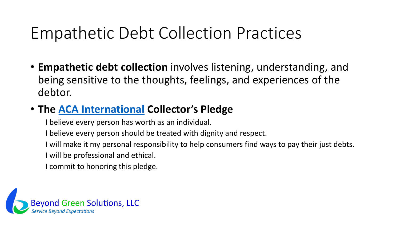### Empathetic Debt Collection Practices

• **Empathetic debt collection** involves listening, understanding, and being sensitive to the thoughts, feelings, and experiences of the debtor.

#### • **The [ACA International](https://www.acainternational.org/) Collector's Pledge**

I believe every person has worth as an individual.

I believe every person should be treated with dignity and respect.

I will make it my personal responsibility to help consumers find ways to pay their just debts.

I will be professional and ethical.

I commit to honoring this pledge.

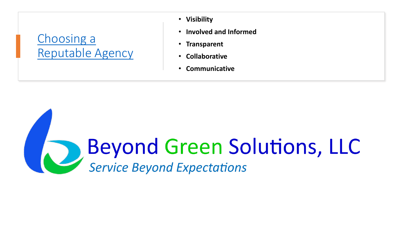#### Choosing a [Reputable Agency](https://www.beyondgreensolutions.com/post/what-is-a-reputable-debt-collection-agency)

- **Visibility**
- **Involved and Informed**
- **Transparent**
- **Collaborative**
- **Communicative**

## **Beyond Green Solutions, LLC**<br>Service Beyond Expectations D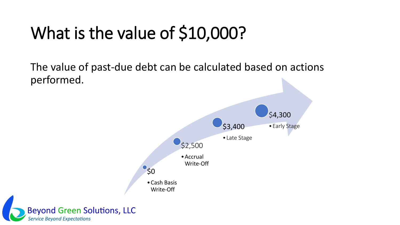### What is the value of \$10,000?

The value of past-due debt can be calculated based on actions performed.

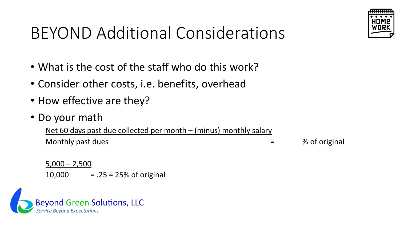

### BEYOND Additional Considerations

- What is the cost of the staff who do this work?
- Consider other costs, i.e. benefits, overhead
- How effective are they?
- Do your math

Net 60 days past due collected per month – (minus) monthly salary Monthly past dues  $\blacksquare$  % of original

 $5,000 - 2,500$ 10,000  $= .25 = 25\%$  of original